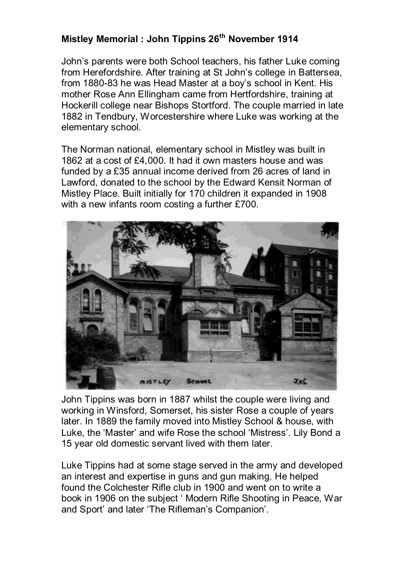## **Mistley Memorial : John Tippins 26th November 1914**

John's parents were both School teachers, his father Luke coming from Herefordshire. After training at St John's college in Battersea, from 1880-83 he was Head Master at a boy's school in Kent. His mother Rose Ann Ellingham came from Hertfordshire, training at Hockerill college near Bishops Stortford. The couple married in late 1882 in Tendbury, Worcestershire where Luke was working at the elementary school.

The Norman national, elementary school in Mistley was built in 1862 at a cost of £4,000. It had it own masters house and was funded by a £35 annual income derived from 26 acres of land in Lawford, donated to the school by the Edward Kensit Norman of Mistley Place. Built initially for 170 children it expanded in 1908 with a new infants room costing a further £700.



John Tippins was born in 1887 whilst the couple were living and working in Winsford, Somerset, his sister Rose a couple of years later. In 1889 the family moved into Mistley School & house, with Luke, the 'Master' and wife Rose the school 'Mistress'. Lily Bond a 15 year old domestic servant lived with them later.

Luke Tippins had at some stage served in the army and developed an interest and expertise in guns and gun making. He helped found the Colchester Rifle club in 1900 and went on to write a book in 1906 on the subject ' Modern Rifle Shooting in Peace, War and Sport' and later 'The Rifleman's Companion'.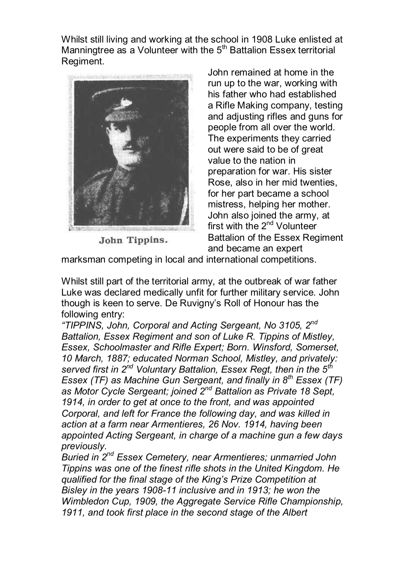Whilst still living and working at the school in 1908 Luke enlisted at Manningtree as a Volunteer with the  $5<sup>th</sup>$  Battalion Essex territorial Regiment.



John Tippins.

John remained at home in the run up to the war, working with his father who had established a Rifle Making company, testing and adjusting rifles and guns for people from all over the world. The experiments they carried out were said to be of great value to the nation in preparation for war. His sister Rose, also in her mid twenties, for her part became a school mistress, helping her mother. John also joined the army, at first with the 2<sup>nd</sup> Volunteer Battalion of the Essex Regiment and became an expert

marksman competing in local and international competitions.

Whilst still part of the territorial army, at the outbreak of war father Luke was declared medically unfit for further military service. John though is keen to serve. De Ruvigny's Roll of Honour has the following entry:

*"TIPPINS, John, Corporal and Acting Sergeant, No 3105, 2nd Battalion, Essex Regiment and son of Luke R. Tippins of Mistley, Essex, Schoolmaster and Rifle Expert; Born. Winsford, Somerset, 10 March, 1887; educated Norman School, Mistley, and privately: served first in 2nd Voluntary Battalion, Essex Regt, then in the 5th Essex (TF) as Machine Gun Sergeant, and finally in 8th Essex (TF) as Motor Cycle Sergeant; joined 2nd Battalion as Private 18 Sept, 1914, in order to get at once to the front, and was appointed Corporal, and left for France the following day, and was killed in action at a farm near Armentieres, 26 Nov. 1914, having been appointed Acting Sergeant, in charge of a machine gun a few days previously.* 

*Buried in 2nd Essex Cemetery, near Armentieres; unmarried John Tippins was one of the finest rifle shots in the United Kingdom. He qualified for the final stage of the King's Prize Competition at Bisley in the years 1908-11 inclusive and in 1913; he won the Wimbledon Cup, 1909, the Aggregate Service Rifle Championship, 1911, and took first place in the second stage of the Albert*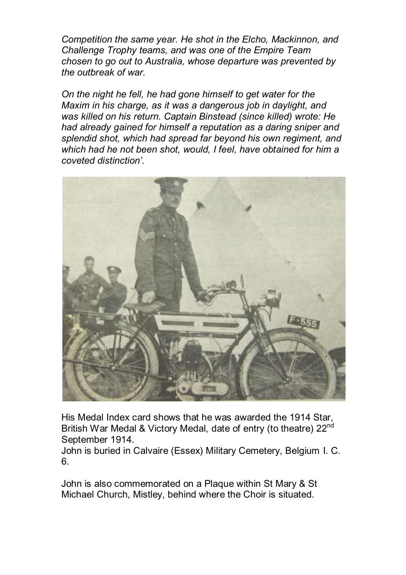*Competition the same year. He shot in the Elcho, Mackinnon, and Challenge Trophy teams, and was one of the Empire Team chosen to go out to Australia, whose departure was prevented by the outbreak of war.* 

*On the night he fell, he had gone himself to get water for the Maxim in his charge, as it was a dangerous job in daylight, and was killed on his return. Captain Binstead (since killed) wrote: He had already gained for himself a reputation as a daring sniper and splendid shot, which had spread far beyond his own regiment, and which had he not been shot, would, I feel, have obtained for him a coveted distinction'.*



His Medal Index card shows that he was awarded the 1914 Star, British War Medal & Victory Medal, date of entry (to theatre) 22<sup>nd</sup> September 1914.

John is buried in Calvaire (Essex) Military Cemetery, Belgium I. C. 6.

John is also commemorated on a Plaque within St Mary & St Michael Church, Mistley, behind where the Choir is situated.